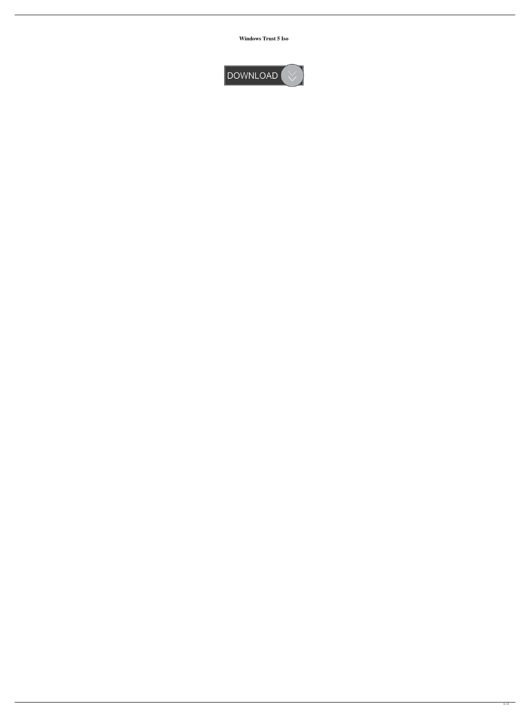**Windows Trust 5 Iso**